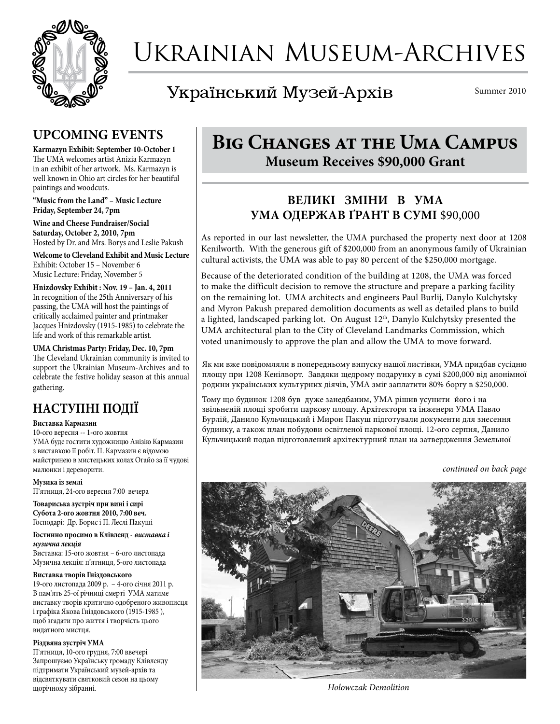

# Ukrainian Museum-Archives

Український Музей-Архів

Summer 2010

## **UPCOMING EVENTS**

**Karmazyn Exhibit: September 10-October 1** The UMA welcomes artist Anizia Karmazyn in an exhibit of her artwork. Ms. Karmazyn is well known in Ohio art circles for her beautiful paintings and woodcuts.

**"Music from the Land" – Music Lecture Friday, September 24, 7pm**

**Wine and Cheese Fundraiser/Social Saturday, October 2, 2010, 7pm** Hosted by Dr. and Mrs. Borys and Leslie Pakush

**Welcome to Cleveland Exhibit and Music Lecture** Exhibit: October 15 – November 6 Music Lecture: Friday, November 5

**Hnizdovsky Exhibit : Nov. 19 – Jan. 4, 2011** In recognition of the 25th Anniversary of his passing, the UMA will host the paintings of critically acclaimed painter and printmaker Jacques Hnizdovsky (1915-1985) to celebrate the life and work of this remarkable artist.

**UMA Christmas Party: Friday, Dec. 10, 7pm** The Cleveland Ukrainian community is invited to support the Ukrainian Museum-Archives and to celebrate the festive holiday season at this annual gathering.

## **НАСТУПНІ ПОДІЇ**

#### **Виставка Кармазин**

10**-**ого вересня -- 1**-**ого жовтня УМА буде гостити художницю Анізію Кармазин з виставкою її робіт. П. Кармазин є відомою майстринею в мистецьких колах Огайо за її чудові малюнки і дереворити.

#### **Музика із землі**

П'ятниця, 24**-**ого вересня 7:00 вечера

**Товариська зустріч при вині і сирі Субота 2-ого жовтня 2010, 7:00 веч.** Господарі: Др. Борис і П. Леслі Пакуші

**Гостинно просимо в Клівленд** - *виставка і музична лекція*

Виставка: 15**-**ого жовтня – 6**-**ого листопада Музична лекція: п'ятниця, 5**-**ого листопада

#### **Виставка творів Гніздовського**

19**-**ого листопада 2009 р. – 4**-**ого січня 2011 р. В пам'ять 25-ої річниці смерті УМА матиме виставку творів критично одобреного живописця і графіка Якова Гніздовського (1915-1985 ), щоб згадати про життя і творчість цього видатного мистця.

#### **Різдвяна зустріч УМА**

П'ятниця, 10**-**ого грудня, 7:00 ввечері Запрошуємо Українську громаду Клівленду підтримати Український музей-архів та відсвяткувати святковий сезон на цьому щорічному зібранні. *Holowczak Demolition*

## **Big Changes at the Uma Campus Museum Receives \$90,000 Grant**

## **ВЕЛИКІ ЗМІНИ В УМА УМА ОДЕРЖАВ ҐРАНТ В СУМІ** \$90,000

As reported in our last newsletter, the UMA purchased the property next door at 1208 Kenilworth. With the generous gift of \$200,000 from an anonymous family of Ukrainian cultural activists, the UMA was able to pay 80 percent of the \$250,000 mortgage.

Because of the deteriorated condition of the building at 1208, the UMA was forced to make the difficult decision to remove the structure and prepare a parking facility on the remaining lot. UMA architects and engineers Paul Burlij, Danylo Kulchytsky and Myron Pakush prepared demolition documents as well as detailed plans to build a lighted, landscaped parking lot. On August 12<sup>th</sup>, Danylo Kulchytsky presented the UMA architectural plan to the City of Cleveland Landmarks Commission, which voted unanimously to approve the plan and allow the UMA to move forward.

Як ми вже повідомляли в попередньому випуску нашої листівки, УМА придбав сусідню площу при 1208 Кенілворт. Завдяки щедрому подарунку в сумі \$200,000 від анонімної родини українських культурних діячів, УМА зміг заплатити 80% боргу в \$250,000.

Тому що будинок 1208 був дуже занедбаним, УМА рішив усунити його і на звільненій площі зробити паркову площу. Архітектори та інженери УМА Павло Бурлій, Данило Кульчицький і Мирон Пакуш підготували документи для знесення будинку, а також план побудови освітленої паркової площі. 12**-**ого серпня, Данило Кульчицький подав підготовлений архітектурний план на затвердження Земельної

*continued on back page*

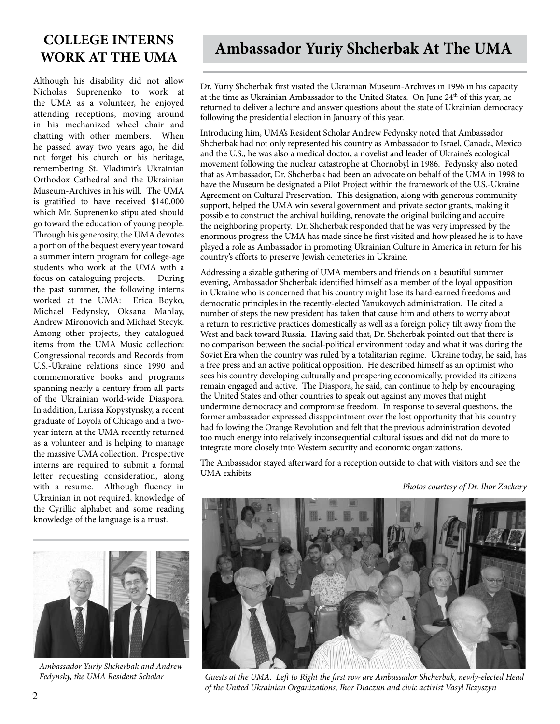## **COLLEGE INTERNS WORK AT THE UMA**

Although his disability did not allow Nicholas Suprenenko to work at the UMA as a volunteer, he enjoyed attending receptions, moving around in his mechanized wheel chair and chatting with other members. When he passed away two years ago, he did not forget his church or his heritage, remembering St. Vladimir's Ukrainian Orthodox Cathedral and the Ukrainian Museum-Archives in his will. The UMA is gratified to have received \$140,000 which Mr. Suprenenko stipulated should go toward the education of young people. Through his generosity, the UMA devotes a portion of the bequest every year toward a summer intern program for college-age students who work at the UMA with a focus on cataloguing projects. During the past summer, the following interns worked at the UMA: Erica Boyko, Michael Fedynsky, Oksana Mahlay, Andrew Mironovich and Michael Stecyk. Among other projects, they catalogued items from the UMA Music collection: Congressional records and Records from U.S.-Ukraine relations since 1990 and commemorative books and programs spanning nearly a century from all parts of the Ukrainian world-wide Diaspora. In addition, Larissa Kopystynsky, a recent graduate of Loyola of Chicago and a twoyear intern at the UMA recently returned as a volunteer and is helping to manage the massive UMA collection. Prospective interns are required to submit a formal letter requesting consideration, along with a resume. Although fluency in Ukrainian in not required, knowledge of the Cyrillic alphabet and some reading knowledge of the language is a must.



Dr. Yuriy Shcherbak first visited the Ukrainian Museum-Archives in 1996 in his capacity at the time as Ukrainian Ambassador to the United States. On June 24<sup>th</sup> of this year, he returned to deliver a lecture and answer questions about the state of Ukrainian democracy following the presidential election in January of this year.

Introducing him, UMA's Resident Scholar Andrew Fedynsky noted that Ambassador Shcherbak had not only represented his country as Ambassador to Israel, Canada, Mexico and the U.S., he was also a medical doctor, a novelist and leader of Ukraine's ecological movement following the nuclear catastrophe at Chornobyl in 1986. Fedynsky also noted that as Ambassador, Dr. Shcherbak had been an advocate on behalf of the UMA in 1998 to have the Museum be designated a Pilot Project within the framework of the U.S.-Ukraine Agreement on Cultural Preservation. This designation, along with generous community support, helped the UMA win several government and private sector grants, making it possible to construct the archival building, renovate the original building and acquire the neighboring property. Dr. Shcherbak responded that he was very impressed by the enormous progress the UMA has made since he first visited and how pleased he is to have played a role as Ambassador in promoting Ukrainian Culture in America in return for his country's efforts to preserve Jewish cemeteries in Ukraine.

Addressing a sizable gathering of UMA members and friends on a beautiful summer evening, Ambassador Shcherbak identified himself as a member of the loyal opposition in Ukraine who is concerned that his country might lose its hard-earned freedoms and democratic principles in the recently-elected Yanukovych administration. He cited a number of steps the new president has taken that cause him and others to worry about a return to restrictive practices domestically as well as a foreign policy tilt away from the West and back toward Russia. Having said that, Dr. Shcherbak pointed out that there is no comparison between the social-political environment today and what it was during the Soviet Era when the country was ruled by a totalitarian regime. Ukraine today, he said, has a free press and an active political opposition. He described himself as an optimist who sees his country developing culturally and prospering economically, provided its citizens remain engaged and active. The Diaspora, he said, can continue to help by encouraging the United States and other countries to speak out against any moves that might undermine democracy and compromise freedom. In response to several questions, the former ambassador expressed disappointment over the lost opportunity that his country had following the Orange Revolution and felt that the previous administration devoted too much energy into relatively inconsequential cultural issues and did not do more to integrate more closely into Western security and economic organizations.

The Ambassador stayed afterward for a reception outside to chat with visitors and see the UMA exhibits.

*Photos courtesy of Dr. Ihor Zackary*



*Ambassador Yuriy Shcherbak and Andrew* 



*Fedynsky, the UMA Resident Scholar Guests at the UMA. Left to Right the first row are Ambassador Shcherbak, newly-elected Head of the United Ukrainian Organizations, Ihor Diaczun and civic activist Vasyl Ilczyszyn*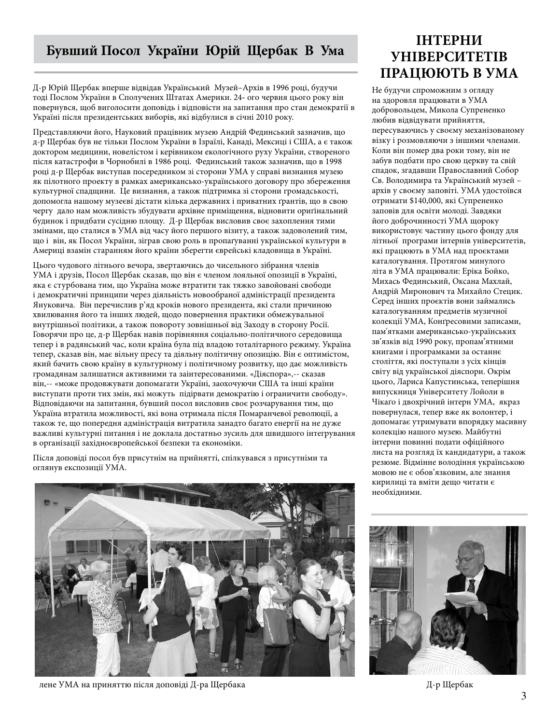#### **Бувший Посол України Юрій Щербак В Ума**

Д-р Юрій Щербак вперше відвідав Український Музей–Архів в 1996 році, будучи тоді Послом України в Сполучених Штатах Америки. 24**-** ого червня цього року він повернувся, щоб виголосити доповідь і відповісти на запитання про стан демократії в Україні після президентських виборів, які відбулися в січні 2010 року.

Представляючи його, Науковий працівник музею Андрій Фединський зазначив, що д-р Щербак був не тільки Послом України в Ізраїлі, Канаді, Мексиці і США, а є також доктором медицини, новелістом і керівником екологічного руху України, створеного після катастрофи в Чорнобилі в 1986 році. Фединський також зазначив, що в 1998 році д-р Щербак виступав посередником зі сторони УМА у справі визнання музею як пілотного проекту в рамках американсько-українського договору про збереження культурної спадщини. Це визнання, а також підтримка зі сторони громадськості, допомогла нашому музеєві дістати кілька державних і приватних ґрантів, що в свою чергу дало нам можливість збудувати архівне приміщення, відновити ориґінальний будинок і придбати сусідню площу. Д-р Щербак висловив своє захоплення тими змінами, що сталися в УМА від часу його першого візиту, а також задоволений тим, що і він, як Посол України, зіграв свою роль в пропаґуванні української культури в Америці взамін старанням його країни зберегти єврейські кладовища в Україні.

Цього чудового літнього вечора, звертаючись до чисельного зібрання членів УМА і друзів, Посол Щербак сказав, що він є членом лояльної опозиції в Україні, яка є стурбована тим, що Україна може втратити так тяжко завойовані свободи і демократичні принципи через діяльність новообраної адміністрації президента Януковича. Він перечислив р'яд кроків нового президента, які стали причиною хвилювання його та інших людей, щодо повернення практики обмежувальної внутрішньої політики, а також повороту зовнішньої від Заходу в сторону Росії. Говорячи про це, д-р Щербак навів порівняння соціально-політичного середовища тепер і в радянський час, коли країна була під владою тоталітарного режиму. Україна тепер, сказав він, має вільну пресу та діяльну політичну опозицію. Він є оптимістом, який бачить свою країну в культурному і політичному розвитку, що дає можливість громадянам залишатися активними та заінтересованими. «Діяспора»,-- сказав він,-- «може продовжувати допомагати Україні, заохочуючи США та інші країни виступати проти тих змін, які можуть підірвати демократію і ограничити свободу». Відповідаючи на запитання, бувший посол висловив своє розчарування тим, що Україна втратила можливості, які вона отримала після Помаранчевої революції, а також те, що попередня адміністрація витратила занадто багато енергії на не дуже важливі культурні питання і не доклала достатньо зусиль для швидшого інтегрування в організації західноєвропейської безпеки та економіки.

Після доповіді посол був присутнім на прийнятті, спілкувався з присутніми та оглянув експозиції УМА.



лене УМА на приняттю після доповіді Д-ра Щербака  $\Box$ 

## **ІНТЕРНИ УНІВЕРСИТЕТІВ ПРАЦЮЮТЬ В УМА**

Не будучи спроможним з огляду на здоровля працювати в УМА добровольцем, Микола Супрененко любив відвідувати прийняття, пересуваючись у своєму механізованому візку і розмовляючи з іншими членами. Коли він помер два роки тому, він не забув подбати про свою церкву та свій спадок, згадавши Православний Собор Св. Володимира та Український музей – архів у своєму заповіті. УМА удостоївся отримати \$140,000, які Супрененко заповів для освіти молоді. Завдяки його доброчинності УМА щороку використовує частину цього фонду для літньої програми інтернів університетів, які працюють в УМА над проєктами каталогування. Протягом минулого літа в УМА працювали: Еріка Бойко, Михась Фединський, Оксана Махлай, Андрій Миронович та Михайло Стецик. Серед інших проєктів вони займались каталогуванням предметів музичної колекції УМА, Конґресовими записами, пам'ятками американсько-українських зв'язків від 1990 року, пропам'ятними книгами і програмками за останнє століття, які поступали з усіх кінців світу від української діяспори. Окрім цього, Лариса Капустинська, теперішня випускниця Університету Лойоли в Чікаґо і двохрічний інтерн УМА, якраз повернулася, тепер вже як волонтер, і допомагає утримувати впорядку масивну колекцію нашого музею. Майбутні інтерни повинні подати офіційного листа на розгляд їх кандидатури, а також резюме. Відмінне володіння українською мовою не є обов'язковим, але знання кирилиці та вміти дещо читати є необхідними.

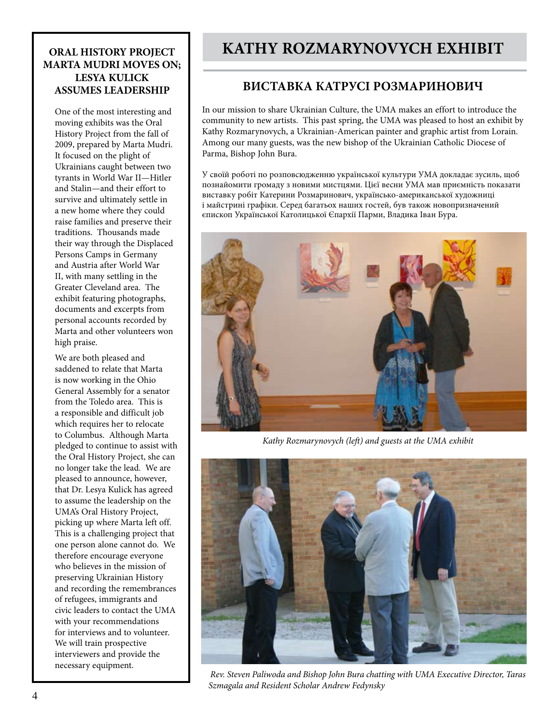#### **ORAL HISTORY PROJECT MARTA MUDRI MOVES ON; LESYA KULICK ASSUMES LEADERSHIP**

One of the most interesting and moving exhibits was the Oral History Project from the fall of 2009, prepared by Marta Mudri. It focused on the plight of Ukrainians caught between two tyrants in World War II—Hitler and Stalin—and their effort to survive and ultimately settle in a new home where they could raise families and preserve their traditions. Thousands made their way through the Displaced Persons Camps in Germany and Austria after World War II, with many settling in the Greater Cleveland area. The exhibit featuring photographs, documents and excerpts from personal accounts recorded by Marta and other volunteers won high praise.

We are both pleased and saddened to relate that Marta is now working in the Ohio General Assembly for a senator from the Toledo area. This is a responsible and difficult job which requires her to relocate to Columbus. Although Marta pledged to continue to assist with the Oral History Project, she can no longer take the lead. We are pleased to announce, however, that Dr. Lesya Kulick has agreed to assume the leadership on the UMA's Oral History Project, picking up where Marta left off. This is a challenging project that one person alone cannot do. We therefore encourage everyone who believes in the mission of preserving Ukrainian History and recording the remembrances of refugees, immigrants and civic leaders to contact the UMA with your recommendations for interviews and to volunteer. We will train prospective interviewers and provide the necessary equipment.

## **KATHY ROZMARYNOVYCH EXHIBIT**

#### **ВИСТАВКА КАТРУСІ РОЗМАРИНОВИЧ**

In our mission to share Ukrainian Culture, the UMA makes an effort to introduce the community to new artists. This past spring, the UMA was pleased to host an exhibit by Kathy Rozmarynovych, a Ukrainian-American painter and graphic artist from Lorain. Among our many guests, was the new bishop of the Ukrainian Catholic Diocese of Parma, Bishop John Bura.

У своїй роботі по розповсюдженню української культури УМА докладає зусиль, щоб познайомити громаду з новими мистцями. Цієї весни УМА мав приємність показати виставку робіт Катерини Розмаринович, українсько-американської художниці і майстрині графіки. Серед багатьох наших гостей, був також новопризначений єпископ Української Католицької Єпархії Парми, Владика Іван Бура.



*Kathy Rozmarynovych (left) and guests at the UMA exhibit*



 *Rev. Steven Paliwoda and Bishop John Bura chatting with UMA Executive Director, Taras Szmagala and Resident Scholar Andrew Fedynsky*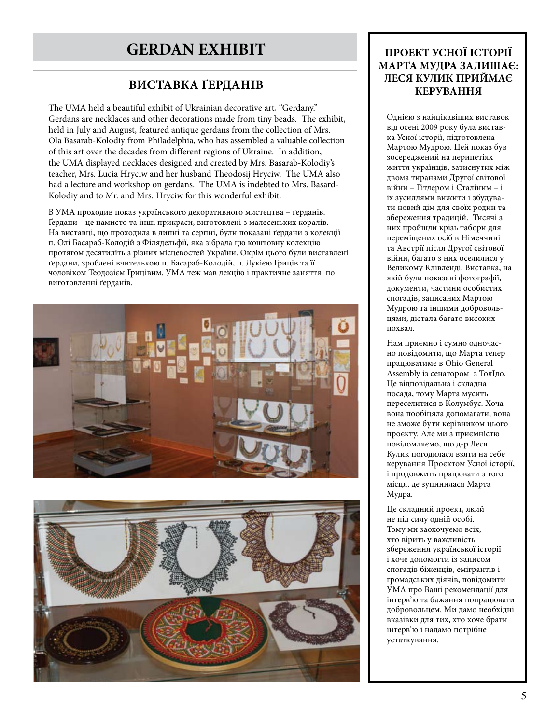## **GERDAN EXHIBIT**

#### **ВИСТАВКА ҐЕРДАНІВ**

The UMA held a beautiful exhibit of Ukrainian decorative art, "Gerdany." Gerdans are necklaces and other decorations made from tiny beads. The exhibit, held in July and August, featured antique gerdans from the collection of Mrs. Ola Basarab-Kolodiy from Philadelphia, who has assembled a valuable collection of this art over the decades from different regions of Ukraine. In addition, the UMA displayed necklaces designed and created by Mrs. Basarab-Kolodiy's teacher, Mrs. Lucia Hryciw and her husband Theodosij Hryciw. The UMA also had a lecture and workshop on gerdans. The UMA is indebted to Mrs. Basard-Kolodiy and to Mr. and Mrs. Hryciw for this wonderful exhibit.

В УМА проходив показ українського декоративного мистецтва – ґерданів. Ґердани—це намисто та інші прикраси, виготовлені з малесеньких коралів. На виставці, що проходила в липні та серпні, були показані ґердани з колекції п. Олі Басараб-Колодій з Філядельфії, яка зібрала цю коштовну колекцію протягом десятиліть з різних місцевостей України. Окрім цього були виставлені ґердани, зроблені вчителькою п. Басараб-Колодій, п. Лукією Гриців та її чоловіком Теодозієм Грицівим. УМА теж мав лекцію і практичне заняття по виготовленні ґерданів.





#### **ПРОЕКТ УСНОЇ ІСТОРІЇ МАРТА МУДРА ЗАЛИШАЄ: ЛЕСЯ КУЛИК ПРИЙМАЄ КЕРУВАННЯ**

Однією з найцікавіших виставок від осені 2009 року була виставка Усної історії, підготовлена Мартою Мудрою. Цей показ був зосереджений на перипетіях життя українців, затиснутих між двома тиранами Другої світової війни – Гітлером і Сталіним – і їх зусиллями вижити і збудувати новий дім для своїх родин та збереження традицій. Тисячі з них пройшли крізь табори для переміщених осіб в Німеччині та Австрії після Другої світової війни, багато з них оселилися у Великому Клівленді. Виставка, на якій були показані фотографії, документи, частини особистих спогадів, записаних Мартою Мудрою та іншими добровольцями, дістала багато високих похвал.

Нам приємно і сумно одночасно повідомити, що Марта тепер працюватиме в Ohio General Assembly із сенатором з ТолIдо. Це відповідальна і складна посада, тому Марта мусить переселитися в Колумбус. Хоча вона пообіцяла допомагати, вона не зможе бути керівником цього проєкту. Але ми з приємністю повідомляємо, що д-р Леся Кулик погодилася взяти на себе керування Проєктом Усної історії, і продовжить працювати з того місця, де зупинилася Марта Мудра.

Це складний проєкт, який не під силу одній особі. Тому ми заохочуємо всіх, хто вірить у важливість збереження української історії і хоче допомогти із записом спогадів біженців, емігрантів і громадських діячів, повідомити УМА про Ваші рекомендації для інтерв'ю та бажання попрацювати добровольцем. Ми дамо необхідні вказівки для тих, хто хоче брати інтерв'ю і надамо потрібне устаткування.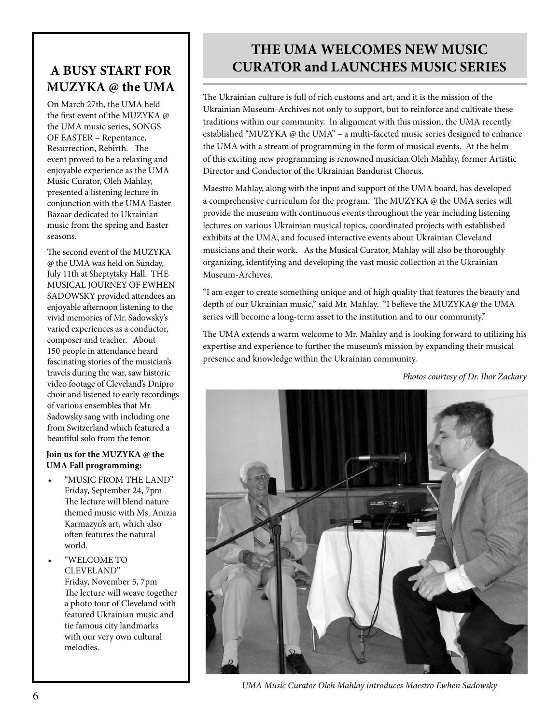## **A BUSY START FOR MUZYKA @ the UMA**

On March 27th, the UMA held the first event of the MUZYKA @ the UMA music series, SONGS OF EASTER – Repentance, Resurrection, Rebirth. The event proved to be a relaxing and enjoyable experience as the UMA Music Curator, Oleh Mahlay, presented a listening lecture in conjunction with the UMA Easter Bazaar dedicated to Ukrainian music from the spring and Easter seasons.

The second event of the MUZYKA @ the UMA was held on Sunday, July 11th at Sheptytsky Hall. THE MUSICAL JOURNEY OF EWHEN SADOWSKY provided attendees an enjoyable afternoon listening to the vivid memories of Mr. Sadowsky's varied experiences as a conductor, composer and teacher. About 150 people in attendance heard fascinating stories of the musician's travels during the war, saw historic video footage of Cleveland's Dnipro choir and listened to early recordings of various ensembles that Mr. Sadowsky sang with including one from Switzerland which featured a beautiful solo from the tenor.

#### **Join us for the MUZYKA @ the UMA Fall programming:**

- "MUSIC FROM THE LAND" Friday, September 24, 7pm The lecture will blend nature themed music with Ms. Anizia Karmazyn's art, which also often features the natural world.
- • "WELCOME TO CLEVELAND" Friday, November 5, 7pm The lecture will weave together a photo tour of Cleveland with featured Ukrainian music and tie famous city landmarks with our very own cultural melodies.

## **THE UMA WELCOMES NEW MUSIC CURATOR and LAUNCHES MUSIC SERIES**

The Ukrainian culture is full of rich customs and art, and it is the mission of the Ukrainian Museum-Archives not only to support, but to reinforce and cultivate these traditions within our community. In alignment with this mission, the UMA recently established "MUZYKA @ the UMA" – a multi-faceted music series designed to enhance the UMA with a stream of programming in the form of musical events. At the helm of this exciting new programming is renowned musician Oleh Mahlay, former Artistic Director and Conductor of the Ukrainian Bandurist Chorus.

Maestro Mahlay, along with the input and support of the UMA board, has developed a comprehensive curriculum for the program. The MUZYKA @ the UMA series will provide the museum with continuous events throughout the year including listening lectures on various Ukrainian musical topics, coordinated projects with established exhibits at the UMA, and focused interactive events about Ukrainian Cleveland musicians and their work. As the Musical Curator, Mahlay will also be thoroughly organizing, identifying and developing the vast music collection at the Ukrainian Museum-Archives.

"I am eager to create something unique and of high quality that features the beauty and depth of our Ukrainian music," said Mr. Mahlay. "I believe the MUZYKA@ the UMA series will become a long-term asset to the institution and to our community."

The UMA extends a warm welcome to Mr. Mahlay and is looking forward to utilizing his expertise and experience to further the museum's mission by expanding their musical presence and knowledge within the Ukrainian community.

*Photos courtesy of Dr. Ihor Zackary*



*UMA Music Curator Oleh Mahlay introduces Maestro Ewhen Sadowsky*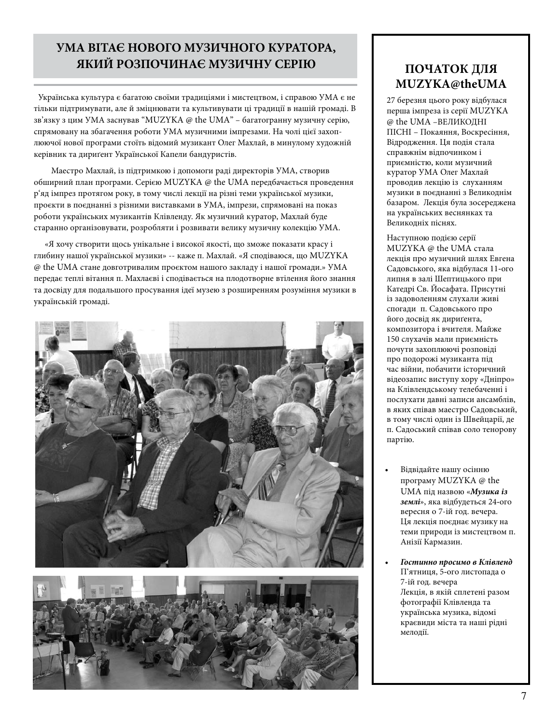## **УМА ВІТАЄ НОВОГО МУЗИЧНОГО КУРАТОРА, ЯКИЙ РОЗПОЧИНАЄ МУЗИЧНУ СЕРІЮ**

֦

 Українська культура є багатою своїми традиціями і мистецтвом, і справою УМА є не тільки підтримувати, але й зміцнювати та культивувати ці традиції в нашій громаді. В зв'язку з цим УМА заснував "MUZYKA @ the UMA" – багатогранну музичну серію, спрямовану на збагачення роботи УМА музичними імпрезами. На чолі цієї захоплюючої нової програми стоїть відомий музикант Олег Махлай, в минулому художній керівник та дириґент Української Капели бандуристів.

 Маестро Махлай, із підтримкою і допомоги раді директорів УМА, створив обширний план програми. Серією MUZYKA @ the UMA передбачається проведення р'яд імпрез протягом року, в тому числі лекції на різні теми української музики, проєкти в поєднанні з різними виставками в УМА, імпрези, спрямовані на показ роботи українських музикантів Клівленду. Як музичний куратор, Махлай буде старанно організовувати, розробляти і розвивати велику музичну колекцію УМА.

 «Я хочу створити щось унікальне і високої якості, що зможе показати красу і глибину нашої української музики» -- каже п. Махлай. «Я сподіваюся, що MUZYKA @ the UMA стане довготривалим проєктом нашого закладу і нашої громади.» УМА передає теплі вітання п. Махлаєві і сподівається на плодотворне втілення його знання та досвіду для подальшого просування ідеї музею з розширенням розуміння музики в українській громаді.





## **ПОЧАТОК ДЛЯ MUZYKA@theUMA**

27 березня цього року відбулася перша імпреза із серії MUZYKA @ the UMA –ВЕЛИКОДНІ ПІСНІ – Покаяння, Воскресіння, Відродження. Ця подія стала справжнім відпочинком і приємністю, коли музичний куратор УМА Олег Махлай проводив лекцію із слуханням музики в поєднанні з Великоднім базаром. Лекція була зосереджена на українських веснянках та Великодніх піснях.

Наступною подією серії MUZYKA @ the UMA стала лекція про музичний шлях Евгена Садовського, яка відбулася 11**-**ого липня в залі Шептицького при Катедрі Св. Йосафата. Присутні із задоволенням слухали живі спогади п. Садовського про його досвід як дириґента, композитора і вчителя. Майже 150 слухачів мали приємність почути захоплюючі розповіді про подорожі музиканта під час війни, побачити історичний відеозапис виступу хору «Дніпро» на Клівлендському телебаченні і послухати давні записи ансамблів, в яких співав маестро Садовський, в тому числі один із Швейцарії, де п. Садоський співав соло тенорову партію.

- Відвідайте нашу осінню програму MUZYKA @ the UMA під назвою «*Музика із землі*», яка відбудеться 24**-**ого вересня о 7-ій год. вечера. Ця лекція поєднає музику на теми природи із мистецтвом п. Анізії Кармазин.
- *• Гостинно просимо в Клівленд* П'ятниця, 5**-**ого листопада о 7-ій год. вечера Лекція, в якій сплетені разом фотографії Клівленда та українська музика, відомі краєвиди міста та наші рідні мелодії.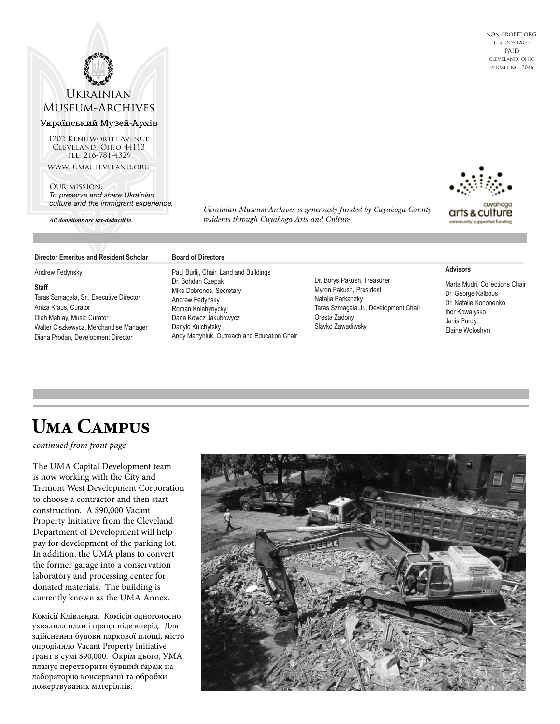#### **UKRAINIAN** Museum-Archives

#### Український Музей-Архів

1202 Kenilworth Avenue Cleveland, Ohio 44113 tel. 216-781-4329 www. umacleveland.org

Our mission:

*To preserve and share Ukrainian culture and the immigrant experience.*

*All donations are tax-deductible.*

*Ukrainian Museum-Archives is generously funded by Cuyahoga County residents through Cuyahoga Arts and Culture*

arts & culture nunity supported funding

#### **Director Emeritus and Resident Scholar**

Andrew Fedynsky

#### **Staff**

Taras Szmagala, Sr., Executive Director Aniza Kraus, Curator Oleh Mahlay, Music Curator Walter Ciszkewycz, Merchandise Manager Diana Prodan, Development Director

**Board of Directors**

Paul Burlij, Chair, Land and Buildings Dr. Bohdan Czepak Mike Dobronos, Secretary Andrew Fedynsky Roman Kniahynyckyj Daria Kowcz Jakubowycz Danylo Kulchytsky Andy Martyniuk, Outreach and Education Chair

Dr. Borys Pakush, Treasurer Myron Pakush, President Natalia Parkanzky Taras Szmagala Jr., Development Chair Oresta Zadony Slavko Zawadiwsky



Marta Mudri, Collections Chair Dr. George Kalbous Dr. Natalie Kononenko Ihor Kowalysko Janis Purdy Elaine Woloshyn

## **Uma Campus**

*continued from front page*

The UMA Capital Development team is now working with the City and Tremont West Development Corporation to choose a contractor and then start construction. A \$90,000 Vacant Property Initiative from the Cleveland Department of Development will help pay for development of the parking lot. In addition, the UMA plans to convert the former garage into a conservation laboratory and processing center for donated materials. The building is currently known as the UMA Annex.

Комісії Клівленда. Комісія одноголосно ухвалила план і праця піде вперід. Для здійснення будови паркової площі, місто опроділило Vacant Property Initiative ґрант в сумі \$90,000. Окрім цього, УМА планує перетворити бувший ґараж на лабораторію консервації та обробки пожертвуваних матеріялів.



NON-PROFIT ORG. U.S. POSTAGE paid cleveland, ohio permit no. 3046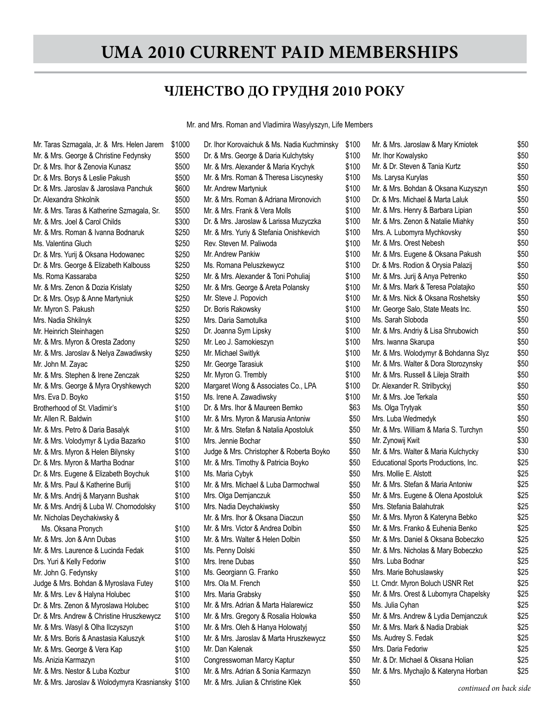## **UMA 2010 current paid MEMBERSHIPS**

#### **ЧЛЕНСТВО ДО ГРУДНЯ 2010 РОКУ**

Mr. and Mrs. Roman and Vladimira Wasylyszyn, Life Members

Mrs. Nadia Shkilnyk **\$250** Mr. Taras Szmagala, Jr. & Mrs. Helen Jarem \$1000 Mr. & Mrs. George & Christine Fedynsky \$50 Dr. & Mrs. Ihor & Zenovia Kunasz \$500 Dr. & Mrs. Borys & Leslie Pakush \$500 Dr. & Mrs. Jaroslav & Jaroslava Panchuk \$60 Dr. Alexandra Shkolnik \$500 Mr. & Mrs. Taras & Katherine Szmagala, Sr. \$500 Mr. & Mrs. Joel & Carol Childs \$30 Mr. & Mrs. Roman & Ivanna Bodnaruk \$250 Ms. Valentina Gluch **\$2500 mm** \$2500 mm Dr. & Mrs. Yurij & Oksana Hodowanec \$250 Dr. & Mrs. George & Elizabeth Kalbouss \$25 Ms. Roma Kassaraba **\$250 mm** \$250 mm \$250 mm \$250 mm \$250 mm \$250 mm \$250 mm \$250 mm \$250 mm \$250 mm \$250 mm \$250 mm \$250 mm \$250 mm \$250 mm \$250 mm \$250 mm \$250 mm \$250 mm \$250 mm \$250 mm \$250 mm \$250 mm \$250 mm \$250 mm \$ Mr. & Mrs. Zenon & Dozia Krislaty \$2500 \$2500 Dr. & Mrs. Osyp & Anne Martyniuk \$25 Mr. Myron S. Pakush **\$2500 and \$2500 km** Mr. Heinrich Steinhagen **\$2500 \$250** Mr. & Mrs. Myron & Oresta Zadony \$25 Mr. & Mrs. Jaroslav & Nelya Zawadiwsky \$250 Mr. John M. Zayac \$25 Mr. & Mrs. Stephen & Irene Zenczak \$25 Mr. & Mrs. George & Myra Oryshkewych \$200 Mrs. Eva D. Boyko **\$1500 \$150** Brotherhood of St. Vladimir's \$100 Mr. Allen R. Baldwin \$1000 \$1000 \$1000 \$1000 \$1000 \$1000 \$1000 \$1000 \$1000 \$1000 \$1000 \$1000 \$1000 \$1000 \$1000 \$1000 \$1000 \$1000 \$1000 \$1000 \$1000 \$1000 \$1000 \$1000 \$1000 \$1000 \$1000 \$1000 \$1000 \$1000 \$1000 \$1000 \$1000 \$10 Mr. & Mrs. Petro & Daria Basalyk  $$10$ Mr. & Mrs. Volodymyr & Lydia Bazarko \$10 Mr. & Mrs. Myron & Helen Bilynsky \$10 Dr. & Mrs. Myron & Martha Bodnar \$10 Dr. & Mrs. Eugene & Elizabeth Boychuk \$10 Mr. & Mrs. Paul & Katherine Burlij \$100 Mr. & Mrs. Andrij & Maryann Bushak \$10 Mr. & Mrs. Andrij & Luba W. Chornodolsky \$10 Mr. Nicholas Deychakiwsky & Ms. Oksana Pronych \$10 Mr. & Mrs. Jon & Ann Dubas  $$10$ Mr. & Mrs. Laurence & Lucinda Fedak \$10 Drs. Yuri & Kelly Fedoriw  $$100$ Mr. John G. Fedynsky **\$1000** Judge & Mrs. Bohdan & Myroslava Futey \$10 Mr. & Mrs. Lev & Halyna Holubec \$1000 Dr. & Mrs. Zenon & Myroslawa Holubec \$100 Dr. & Mrs. Andrew & Christine Hruszkewycz \$10 Mr. & Mrs. Wasyl & Olha Ilczyszyn \$10 Mr. & Mrs. Boris & Anastasia Kaluszyk \$10 Mr. & Mrs. George & Vera Kap \$10 Ms. Anizia Karmazyn **\$1000 \$1000 \$1000 \$1000 \$1000 \$1000 \$100** Mr. & Mrs. Nestor & Luba Kozbur  $$10$ Mr. & Mrs. Jaroslav & Wolodymyra Krasniansky \$10

| 00 | Dr. Ihor Korovaichuk & Ms. Nadia Kuchminsky | \$100 |
|----|---------------------------------------------|-------|
| 00 | Dr. & Mrs. George & Daria Kulchytsky        | \$100 |
| 00 | Mr. & Mrs. Alexander & Maria Krychyk        | \$100 |
| 00 | Mr. & Mrs. Roman & Theresa Liscynesky       | \$100 |
| 00 | Mr. Andrew Martyniuk                        | \$100 |
| 00 | Mr. & Mrs. Roman & Adriana Mironovich       | \$100 |
| 00 | Mr. & Mrs. Frank & Vera Molls               | \$100 |
| 00 | Dr. & Mrs. Jaroslaw & Larissa Muzyczka      | \$100 |
| 50 | Mr. & Mrs. Yuriy & Stefania Onishkevich     | \$100 |
| 50 | Rev. Steven M. Paliwoda                     | \$100 |
| 50 | Mr. Andrew Pankiw                           | \$100 |
| 50 | Ms. Romana Peluszkewycz                     | \$100 |
| 50 | Mr. & Mrs. Alexander & Toni Pohuliaj        | \$100 |
| 50 | Mr. & Mrs. George & Areta Polansky          | \$100 |
| 50 | Mr. Steve J. Popovich                       | \$100 |
| 50 | Dr. Boris Rakowsky                          | \$100 |
| 50 | Mrs. Daria Samotulka                        | \$100 |
| 50 | Dr. Joanna Sym Lipsky                       | \$100 |
| 50 | Mr. Leo J. Samokieszyn                      | \$100 |
| 50 | Mr. Michael Switlyk                         | \$100 |
| 50 | Mr. George Tarasiuk                         | \$100 |
| 50 | Mr. Myron G. Trembly                        | \$100 |
| 00 | Margaret Wong & Associates Co., LPA         | \$100 |
| 50 | Ms. Irene A. Zawadiwsky                     | \$100 |
| 00 | Dr. & Mrs. Ihor & Maureen Bemko             | \$63  |
| 00 | Mr. & Mrs. Myron & Marusia Antoniw          | \$50  |
| 00 | Mr. & Mrs. Stefan & Natalia Apostoluk       | \$50  |
| 00 | Mrs. Jennie Bochar                          | \$50  |
| 00 | Judge & Mrs. Christopher & Roberta Boyko    | \$50  |
| 00 | Mr. & Mrs. Timothy & Patricia Boyko         | \$50  |
| 00 | Ms. Maria Cybyk                             | \$50  |
| 00 | Mr. & Mrs. Michael & Luba Darmochwal        | \$50  |
| 00 | Mrs. Olga Demjanczuk                        | \$50  |
| 00 | Mrs. Nadia Deychakiwsky                     | \$50  |
|    | Mr. & Mrs. Ihor & Oksana Diaczun            | \$50  |
| 00 | Mr. & Mrs. Victor & Andrea Dolbin           | \$50  |
| 00 | Mr. & Mrs. Walter & Helen Dolbin            | \$50  |
| 00 | Ms. Penny Dolski                            | \$50  |
| 00 | Mrs. Irene Dubas                            | \$50  |
| 00 | Ms. Georgiann G. Franko                     | \$50  |
| 00 | Mrs. Ola M. French                          | \$50  |
| 00 | Mrs. Maria Grabsky                          | \$50  |
| 00 | Mr. & Mrs. Adrian & Marta Halarewicz        | \$50  |
| 00 | Mr. & Mrs. Gregory & Rosalia Holowka        | \$50  |
| 00 | Mr. & Mrs. Oleh & Hanya Holowatyj           | \$50  |
| 00 | Mr. & Mrs. Jaroslav & Marta Hruszkewycz     | \$50  |
| 00 | Mr. Dan Kalenak                             | \$50  |
| 00 | Congresswoman Marcy Kaptur                  | \$50  |
| 00 | Mr. & Mrs. Adrian & Sonia Karmazyn          | \$50  |
| 00 | Mr. & Mrs. Julian & Christine Klek          | \$50  |
|    |                                             |       |

| D | Mr. & Mrs. Jaroslaw & Mary Kmiotek    | \$50 |
|---|---------------------------------------|------|
| D | Mr. Ihor Kowalysko                    | \$50 |
| D | Mr. & Dr. Steven & Tania Kurtz        | \$50 |
| D | Ms. Larysa Kurylas                    | \$50 |
| D | Mr. & Mrs. Bohdan & Oksana Kuzyszyn   | \$50 |
| D | Dr. & Mrs. Michael & Marta Laluk      | \$50 |
| D | Mr. & Mrs. Henry & Barbara Lipian     | \$50 |
| D | Mr. & Mrs. Zenon & Natalie Miahky     | \$50 |
| D | Mrs. A. Lubomyra Mychkovsky           | \$50 |
| D | Mr. & Mrs. Orest Nebesh               | \$50 |
| D | Mr. & Mrs. Eugene & Oksana Pakush     | \$50 |
| D | Dr. & Mrs. Rodion & Orysia Palazij    | \$50 |
| D | Mr. & Mrs. Jurij & Anya Petrenko      | \$50 |
| D | Mr. & Mrs. Mark & Teresa Polatajko    | \$50 |
| D | Mr. & Mrs. Nick & Oksana Roshetsky    | \$50 |
| D | Mr. George Salo, State Meats Inc.     | \$50 |
| D | Ms. Sarah Sloboda                     | \$50 |
| D | Mr. & Mrs. Andriy & Lisa Shrubowich   | \$50 |
| D | Mrs. Iwanna Skarupa                   | \$50 |
| D | Mr. & Mrs. Wolodymyr & Bohdanna Slyz  | \$50 |
| D | Mr. & Mrs. Walter & Dora Storozynsky  | \$50 |
| D | Mr. & Mrs. Russell & Lileja Straith   | \$50 |
| D | Dr. Alexander R. Strilbyckyj          | \$50 |
| D | Mr. & Mrs. Joe Terkala                | \$50 |
| 3 | Ms. Olga Trytyak                      | \$50 |
| D | Mrs. Luba Wedmedyk                    | \$50 |
| D | Mr. & Mrs. William & Maria S. Turchyn | \$50 |
| D | Mr. Zynowij Kwit                      | \$30 |
| D | Mr. & Mrs. Walter & Maria Kulchycky   | \$30 |
| D | Educational Sports Productions, Inc.  | \$25 |
| D | Mrs. Mollie E. Alstott                | \$25 |
| D | Mr. & Mrs. Stefan & Maria Antoniw     | \$25 |
| D | Mr. & Mrs. Eugene & Olena Apostoluk   | \$25 |
| D | Mrs. Stefania Balahutrak              | \$25 |
| D | Mr. & Mrs. Myron & Kateryna Bebko     | \$25 |
| D | Mr. & Mrs. Franko & Euhenia Benko     | \$25 |
| D | Mr. & Mrs. Daniel & Oksana Bobeczko   | \$25 |
| D | Mr. & Mrs. Nicholas & Mary Bobeczko   | \$25 |
| D | Mrs. Luba Bodnar                      | \$25 |
| D | Mrs. Marie Bohuslawsky                | \$25 |
| D |                                       |      |
|   | Lt. Cmdr. Myron Boluch USNR Ret       | \$25 |
| D | Mr. & Mrs. Orest & Lubomyra Chapelsky | \$25 |
| D | Ms. Julia Cyhan                       | \$25 |
| D | Mr. & Mrs. Andrew & Lydia Demjanczuk  | \$25 |
| D | Mr. & Mrs. Mark & Nadia Drabiak       | \$25 |
| D | Ms. Audrey S. Fedak                   | \$25 |
| D | Mrs. Daria Fedoriw                    | \$25 |
| D | Mr. & Dr. Michael & Oksana Holian     | \$25 |
| D | Mr. & Mrs. Mychajlo & Kateryna Horban | \$25 |